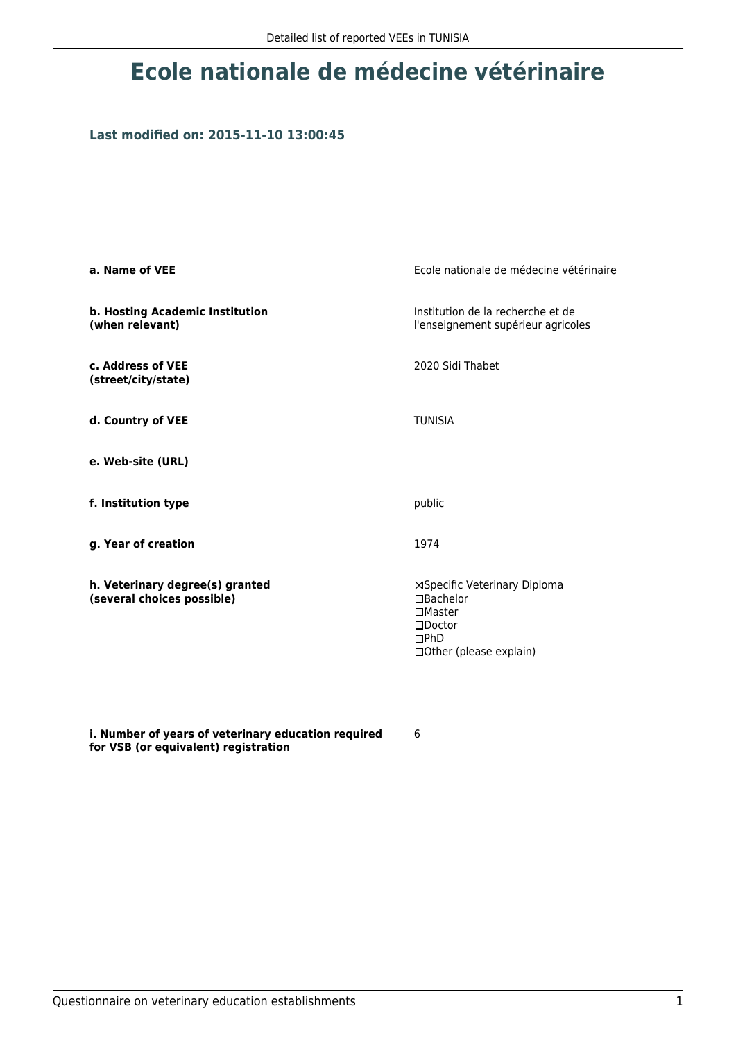## **Ecole nationale de médecine vétérinaire**

## **Last modified on: 2015-11-10 13:00:45**

| a. Name of VEE                                                | Ecole nationale de médecine vétérinaire                                                                                       |  |
|---------------------------------------------------------------|-------------------------------------------------------------------------------------------------------------------------------|--|
| b. Hosting Academic Institution<br>(when relevant)            | Institution de la recherche et de<br>l'enseignement supérieur agricoles                                                       |  |
| c. Address of VEE<br>(street/city/state)                      | 2020 Sidi Thabet                                                                                                              |  |
| d. Country of VEE                                             | <b>TUNISIA</b>                                                                                                                |  |
| e. Web-site (URL)                                             |                                                                                                                               |  |
| f. Institution type                                           | public                                                                                                                        |  |
| g. Year of creation                                           | 1974                                                                                                                          |  |
| h. Veterinary degree(s) granted<br>(several choices possible) | ⊠Specific Veterinary Diploma<br>$\Box$ Bachelor<br>$\Box$ Master<br>$\square$ Doctor<br>DPhD<br>$\Box$ Other (please explain) |  |

**i. Number of years of veterinary education required for VSB (or equivalent) registration**

6